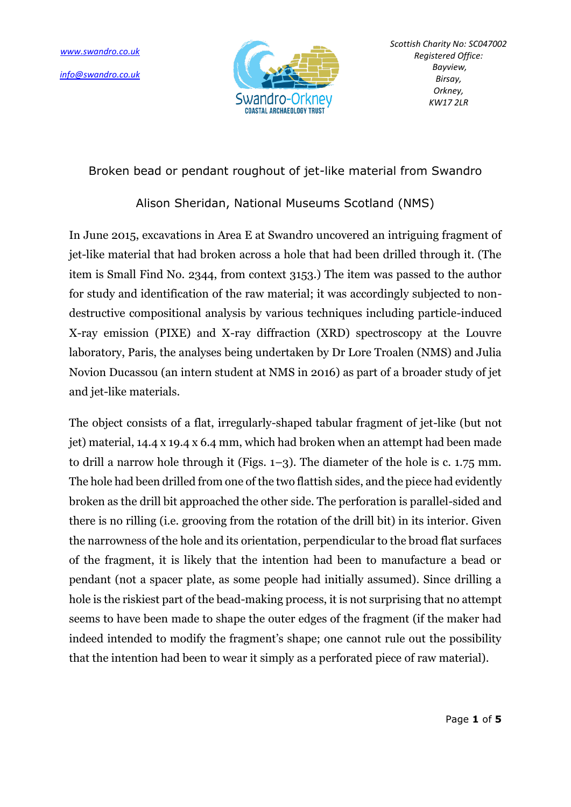

Broken bead or pendant roughout of jet-like material from Swandro

## Alison Sheridan, National Museums Scotland (NMS)

In June 2015, excavations in Area E at Swandro uncovered an intriguing fragment of jet-like material that had broken across a hole that had been drilled through it. (The item is Small Find No. 2344, from context 3153.) The item was passed to the author for study and identification of the raw material; it was accordingly subjected to nondestructive compositional analysis by various techniques including particle-induced X-ray emission (PIXE) and X-ray diffraction (XRD) spectroscopy at the Louvre laboratory, Paris, the analyses being undertaken by Dr Lore Troalen (NMS) and Julia Novion Ducassou (an intern student at NMS in 2016) as part of a broader study of jet and jet-like materials.

The object consists of a flat, irregularly-shaped tabular fragment of jet-like (but not jet) material, 14.4 x 19.4 x 6.4 mm, which had broken when an attempt had been made to drill a narrow hole through it (Figs. 1–3). The diameter of the hole is c. 1.75 mm. The hole had been drilled from one of the two flattish sides, and the piece had evidently broken as the drill bit approached the other side. The perforation is parallel-sided and there is no rilling (i.e. grooving from the rotation of the drill bit) in its interior. Given the narrowness of the hole and its orientation, perpendicular to the broad flat surfaces of the fragment, it is likely that the intention had been to manufacture a bead or pendant (not a spacer plate, as some people had initially assumed). Since drilling a hole is the riskiest part of the bead-making process, it is not surprising that no attempt seems to have been made to shape the outer edges of the fragment (if the maker had indeed intended to modify the fragment's shape; one cannot rule out the possibility that the intention had been to wear it simply as a perforated piece of raw material).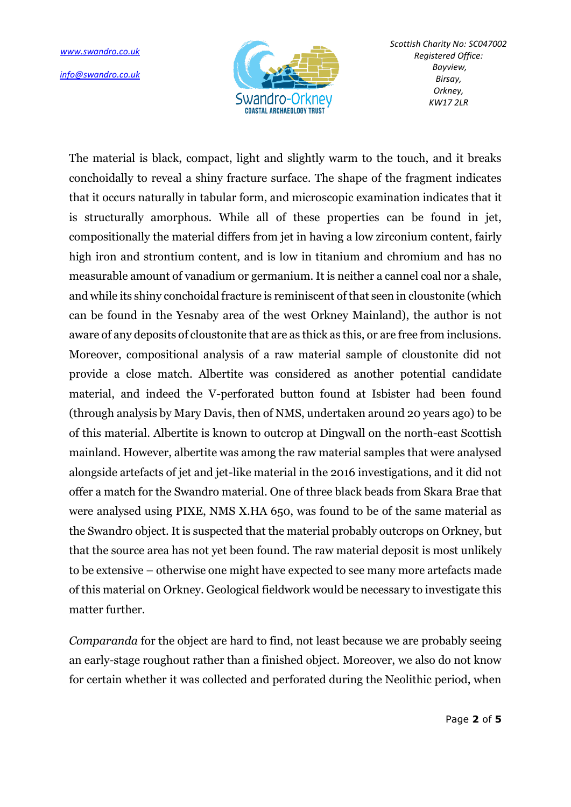*[info@swandro.co.uk](mailto:info@swandro.co.uk)*



The material is black, compact, light and slightly warm to the touch, and it breaks conchoidally to reveal a shiny fracture surface. The shape of the fragment indicates that it occurs naturally in tabular form, and microscopic examination indicates that it is structurally amorphous. While all of these properties can be found in jet, compositionally the material differs from jet in having a low zirconium content, fairly high iron and strontium content, and is low in titanium and chromium and has no measurable amount of vanadium or germanium. It is neither a cannel coal nor a shale, and while its shiny conchoidal fracture is reminiscent of that seen in cloustonite (which can be found in the Yesnaby area of the west Orkney Mainland), the author is not aware of any deposits of cloustonite that are as thick as this, or are free from inclusions. Moreover, compositional analysis of a raw material sample of cloustonite did not provide a close match. Albertite was considered as another potential candidate material, and indeed the V-perforated button found at Isbister had been found (through analysis by Mary Davis, then of NMS, undertaken around 20 years ago) to be of this material. Albertite is known to outcrop at Dingwall on the north-east Scottish mainland. However, albertite was among the raw material samples that were analysed alongside artefacts of jet and jet-like material in the 2016 investigations, and it did not offer a match for the Swandro material. One of three black beads from Skara Brae that were analysed using PIXE, NMS X.HA 650, was found to be of the same material as the Swandro object. It is suspected that the material probably outcrops on Orkney, but that the source area has not yet been found. The raw material deposit is most unlikely to be extensive – otherwise one might have expected to see many more artefacts made of this material on Orkney. Geological fieldwork would be necessary to investigate this matter further.

*Comparanda* for the object are hard to find, not least because we are probably seeing an early-stage roughout rather than a finished object. Moreover, we also do not know for certain whether it was collected and perforated during the Neolithic period, when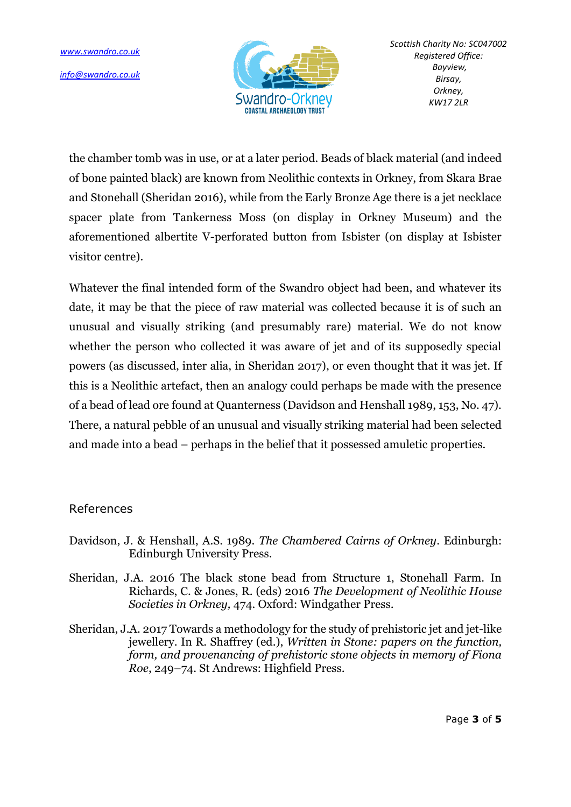

the chamber tomb was in use, or at a later period. Beads of black material (and indeed of bone painted black) are known from Neolithic contexts in Orkney, from Skara Brae and Stonehall (Sheridan 2016), while from the Early Bronze Age there is a jet necklace spacer plate from Tankerness Moss (on display in Orkney Museum) and the aforementioned albertite V-perforated button from Isbister (on display at Isbister visitor centre).

Whatever the final intended form of the Swandro object had been, and whatever its date, it may be that the piece of raw material was collected because it is of such an unusual and visually striking (and presumably rare) material. We do not know whether the person who collected it was aware of jet and of its supposedly special powers (as discussed, inter alia, in Sheridan 2017), or even thought that it was jet. If this is a Neolithic artefact, then an analogy could perhaps be made with the presence of a bead of lead ore found at Quanterness (Davidson and Henshall 1989, 153, No. 47). There, a natural pebble of an unusual and visually striking material had been selected and made into a bead – perhaps in the belief that it possessed amuletic properties.

## References

- Davidson, J. & Henshall, A.S. 1989. *The Chambered Cairns of Orkney*. Edinburgh: Edinburgh University Press.
- Sheridan, J.A. 2016 The black stone bead from Structure 1, Stonehall Farm. In Richards, C. & Jones, R. (eds) 2016 *The Development of Neolithic House Societies in Orkney,* 474. Oxford: Windgather Press.
- Sheridan, J.A. 2017 Towards a methodology for the study of prehistoric jet and jet-like jewellery. In R. Shaffrey (ed.), *Written in Stone: papers on the function, form, and provenancing of prehistoric stone objects in memory of Fiona Roe*, 249–74. St Andrews: Highfield Press.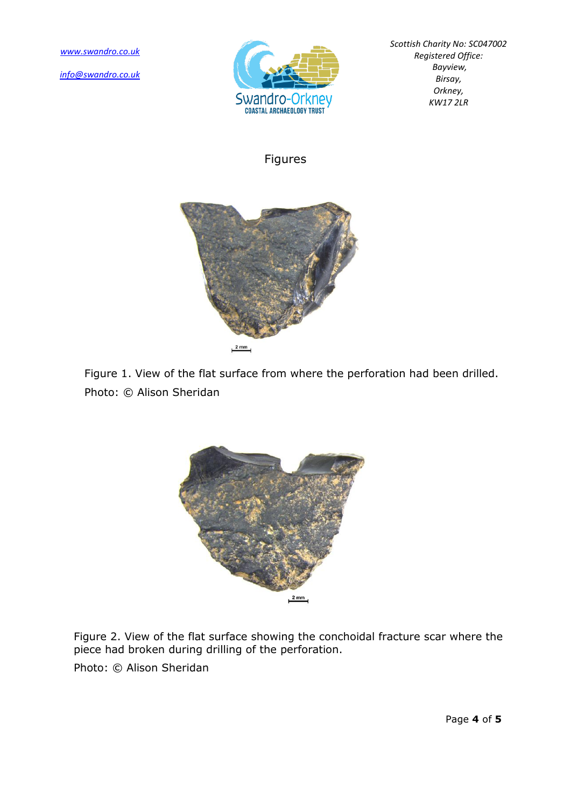*[info@swandro.co.uk](mailto:info@swandro.co.uk)*



*Scottish Charity No: SC047002 Registered Office: Bayview, Birsay, Orkney, KW17 2LR*

## Figures



Figure 1. View of the flat surface from where the perforation had been drilled. Photo: © Alison Sheridan



Figure 2. View of the flat surface showing the conchoidal fracture scar where the piece had broken during drilling of the perforation.

Photo: © Alison Sheridan